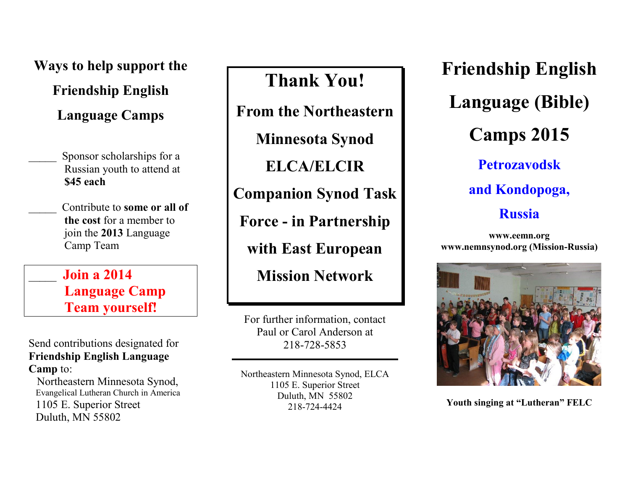**Ways to help support the** 

**Friendship English**

**Language Camps**

Sponsor scholarships for a Russian youth to attend at **\$45 each**

\_\_\_\_\_ Contribute to **some or all of the cost** for a member to join the **2013** Language Camp Team

\_\_\_\_\_ **Join a 2014 Language Camp Team yourself!**

Send contributions designated for **Friendship English Language Camp** to:

 Northeastern Minnesota Synod, Evangelical Lutheran Church in America 1105 E. Superior Street Duluth, MN 55802

**Thank You!**

**From the Northeastern** 

**Minnesota Synod** 

**ELCA/ELCIR** 

**Companion Synod Task** 

**Force - in Partnership** 

**with East European** 

**Mission Network**

For further information, contact Paul or Carol Anderson at 218-728-5853

Northeastern Minnesota Synod, ELCA 1105 E. Superior Street Duluth, MN 55802 218-724-4424

**Friendship English Language (Bible) Camps 2015 Petrozavodsk and Kondopoga,** 

**Russia**

**[www.eemn.org](http://www.eemn.org/) [www.nemnsynod.org](http://www.nemnsynod.org/) (Mission-Russia)**



**Youth singing at "Lutheran" FELC**